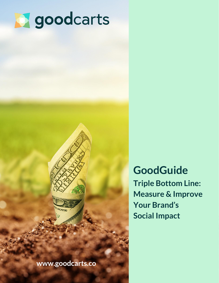



**[www.goodcarts.co](https://goodcarts.co/?utm_source=Ethical%20Ecommerce%20Guide%20Lead%20Magnet&utm_medium=PDF&utm_campaign=2020%20Guide&utm_content=Cover%20Section)** 

**GoodGuide Triple Bottom Line: Measure & Improve Your Brand's Social Impact**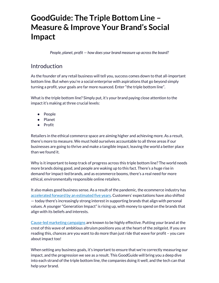# **GoodGuide: The Triple Bottom Line – Measure & Improve Your Brand's Social Impact**

*People, planet, profit — how does your brand measure up across the board?*

## Introduction

As the founder of any retail business will tell you, success comes down to that all-important bottom line. But when you're a social enterprise with aspirations that go beyond simply turning a profit, your goals are far more nuanced. Enter "the triple bottom line".

What is the triple bottom line? Simply put, it's your brand paying close attention to the impact it's making at three crucial levels:

- People
- Planet
- Profit

Retailers in the ethical commerce space are aiming higher and achieving more. As a result, there's more to measure. We must hold ourselves accountable to all three areas if our businesses are going to thrive and make a tangible impact, leaving the world a better place than we found it.

Why is it important to keep track of progress across this triple bottom line? The world needs more brands doing good, and people are waking up to this fact. There's a huge rise in demand for impact-led brands, and as ecommerce booms, there's a real need for more ethical, environmentally responsible online retailers.

It also makes good business sense. As a result of the pandemic, the ecommerce industry has [accelerated forward by an estimated five years](https://techcrunch.com/2020/08/24/covid-19-pandemic-accelerated-shift-to-e-commerce-by-5-years-new-report-says/). Customers' expectations have also shifted — today there's increasingly strong interest in supporting brands that align with personal values. A younger "Generation Impact" is rising up, with money to spend on the brands that align with its beliefs and interests.

[Cause-led marketing campaigns](https://www.forbes.com/sites/forbescommunicationscouncil/2020/03/31/why-cause-marketing-matters-more-now-than-ever-before/) are known to be highly effective. Putting your brand at the crest of this wave of ambitious altruism positions you at the heart of the zeitgeist. If you are reading this, chances are you want to do more than just ride that wave for profit – you care about impact too!

When setting any business goals, it's important to ensure that we're correctly measuring our impact, and the progression we see as a result. This GoodGuide will bring you a deep dive into each strand of the triple bottom line, the companies doing it well, and the tech can that help your brand.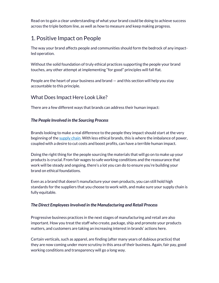Read on to gain a clear understanding of what your brand could be doing to achieve success across the triple bottom line, as well as how to measure and keep making progress.

# 1. Positive Impact on People

The way your brand affects people and communities should form the bedrock of any impactled operation.

Without the solid foundation of truly ethical practices supporting the people your brand touches, any other attempt at implementing "for good" principles will fall flat.

People are the heart of your business and brand — and this section will help you stay accountable to this principle.

#### What Does Impact Here Look Like?

There are a few different ways that brands can address their human impact:

#### *The People Involved in the Sourcing Process*

Brands looking to make a real difference to the people they impact should start at the very beginning of th[e supply chain.](https://www.anthesisgroup.com/how-to-improve-the-sustainability-of-supply-chains/) With less ethical brands, this is where the imbalance of power, coupled with a desire to cut costs and boost profits, can have a terrible human impact.

Doing the right thing for the people sourcing the materials that will go on to make up your products is crucial. From fair wages to safe working conditions and the reassurance that work will be steady and ongoing, there's a lot you can do to ensure you're building your brand on ethical foundations.

Even as a brand that doesn't manufacture your own products, you can still hold high standards for the suppliers that you choose to work with, and make sure your supply chain is fully equitable.

#### *The Direct Employees Involved in the Manufacturing and Retail Process*

Progressive business practices in the next stages of manufacturing and retail are also important. How you treat the staff who create, package, ship and promote your products matters, and customers are taking an increasing interest in brands' actions here.

Certain verticals, such as apparel, are finding (after many years of dubious practice) that they are now coming under more scrutiny in this area of their business. Again, fair pay, good working conditions and transparency will go a long way.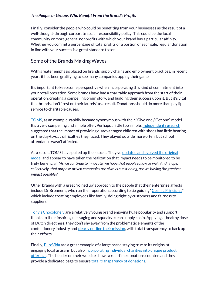#### *The People or Groups Who Benefit From the Brand's Profits*

Finally, consider the people who could be benefiting from your businesses as the result of a well-thought-through corporate social responsibility policy. This could be the local community or more general nonprofits with which your brand has a particular affinity. Whether you commit a percentage of total profits or a portion of each sale, regular donation in line with your success is a great standard to set.

#### Some of the Brands Making Waves

With greater emphasis placed on brands' supply chains and employment practices, in recent years it has been gratifying to see many companies upping their game.

It's important to keep some perspective when incorporating this kind of commitment into your retail operation. Some brands have had a charitable approach from the start of their operation, creating a compelling origin story, and building their success upon it. But it's vital that brands don't "rest on their laurels" as a result. Donations should do more than pay lip service to charitable causes.

[TOMS](https://www.toms.com/), as an example, rapidly became synonymous with their "Give one / Get one" model. It's a very compelling and simple offer. Perhaps a little too simple. [Independent research](http://www.acrosstwoworlds.net/the-impact-of-toms-shoes-on-kids/) suggested that the impact of providing disadvantaged children with shoes had little bearing on the day-to-day difficulties they faced. They played outside more often, but school attendance wasn't affected.

As a result, TOMS have pulled up their socks. They've updated and evolved the original [model a](https://www.fastcompany.com/90344987/toms-made-buy-one-give-one-famous-now-its-updating-the-model)nd appear to have taken the realization that impact needs to be monitored to be truly beneficial: *"As we continue to innovate, we hope that people follow as well. And I hope, collectively, that purpose-driven companies are always questioning, are we having the greatest impact possible?"*

Other brands with a great "joined up' approach to the people that their enterprise affects include Dr Bronner's, who run their operation according to six guiding "[Cosmic Principles](https://www.drbronner.com/about/)" which include treating employees like family, doing right by customers and fairness to suppliers.

[Tony's Chocolonely](https://tonyschocolonely.com/) are a relatively young brand enjoying huge popularity and support thanks to their inspiring messaging and squeaky-clean supply chain. Applying a healthy dose of Dutch directness, they don't shy away from the problematic elements of the confectionery industry an[d clearly outline their mission,](https://tonyschocolonely.com/uk/en/our-mission/tonys-impact) with total transparency to back up their efforts.

Finally, [PureVida](http://www.puravidabracelets.com/) are a great example of a large brand staying true to its origins, still engaging local artisans, but also [incorporating individual charities into unique product](https://www.puravidabracelets.com/collections/charity)  [offerings.](https://www.puravidabracelets.com/collections/charity) The header on their website shows a real-time donations counter, and they provide a dedicated page to ensure **total transparency of donations**.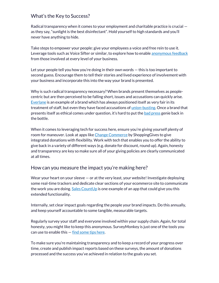#### What's the Key to Success?

Radical transparency when it comes to your employment and charitable practice is crucial as they say, "sunlight is the best disinfectant". Hold yourself to high standards and you'll never have anything to hide.

Take steps to empower your people: give your employees a voice and free rein to use it. Leverage tools such as Voice Sifter or similar, to explore how to enabl[e anonymous feedback](https://www.voicesifter.com/blog/4-effective-methods-to-obtaining-anonymous-feedback#:~:text=Anonymous%20feedback%20opens%20your%20door,resources%20and%20help%20where%20necessary.) from those involved at every level of your business.

Let your people tell you how you're doing in their own words — this is too important to second guess. Encourage them to tell their stories and lived experience of involvement with your business and incorporate this into the way your brand is presented.

Why is such radical transparency necessary? When brands present themselves as peoplecentric but are then perceived to be falling short, issues and accusations can quickly arise. [Everlane](https://www.everlane.com/) is an example of a brand which has always positioned itself as very fair in its treatment of staff, but even they have faced accusations of <u>union-busting</u>. Once a brand that presents itself as ethical comes under question, it's hard to put the [bad press g](https://www.curiouslyconscious.com/2019/05/is-everlane-ethical-fashion.html/)enie back in the bottle.

When it comes to leveraging tech for success here, ensure you're giving yourself plenty of room for maneuver. Look at apps like [Change Commerce b](https://apps.shopify.com/change-commerce?surface_detail=shoppinggives&surface_inter_position=1&surface_intra_position=1&surface_type=search)y ShoppingGives to give integrated donations with flexibility. Work with tech that enables you to offer the ability to give back in a variety of different ways (e.g. donate for discount, round up). Again, honesty and transparency are key so make sure all of your giving policies are clearly communicated at all times.

#### How can you measure the impact you're making here?

Wear your heart on your sleeve — or at the very least, your website! Investigate deploying some real-time trackers and dedicate clear sections of your ecommerce site to communicate the work you are doing[. Sales CountUp i](https://apps.shopify.com/sales-countup)s one example of an app that could give you this extended functionality.

Internally, set clear impact goals regarding the people your brand impacts. Do this annually, and keep yourself accountable to some tangible, measurable targets.

Regularly survey your staff and everyone involved within your supply chain. Again, for total honesty, you might like to keep this anonymous. SurveyMonkey is just one of the tools you can use to enable this  $-\frac{1}{\pi}$  [find some tips here.](https://www.surveymonkey.co.uk/curiosity/how-to-build-an-anonymous-survey/)

To make sure you're maintaining transparency and to keep a record of your progress over time, create and publish impact reports based on these surveys, the amount of donations processed and the success you've achieved in relation to the goals you set.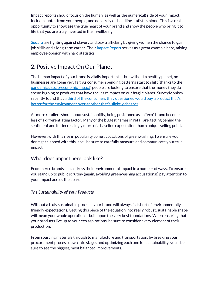Impact reports should focus on the human (as well as the numerical) side of your impact. Include quotes from your people, and don't rely on headline statistics alone. This is a real opportunity to showcase the true heart of your brand and show the people who bring it to life that you are truly invested in their wellbeing.

[Sudara](https://www.sudara.org/) are fighting against slavery and sex-trafficking by giving women the chance to gain job skills and a long-term career. Their <u>Impact Report</u> serves as a great example here, mixing employee opinion with hard statistics.

# 2. Positive Impact On Our Planet

The human impact of your brand is vitally important — but without a healthy planet, no businesses are going very far! As consumer spending patterns start to shift (thanks to the pandemic's socio[-economic impact\)](https://www.cnbc.com/2020/09/29/americans-have-changed-their-spending-habits-during-the-pandemic-heres-how.html) people are looking to ensure that the money they do spend is going to products that have the least impact on our fragile planet. SurveyMonkey recently found tha[t a third of the consumers they questioned would buy a product that's](https://www.surveymonkey.co.uk/curiosity/more-consumers-are-opening-their-wallets-for-eco-friendly-products/)  [better for the environment over another that's slightly cheaper.](https://www.surveymonkey.co.uk/curiosity/more-consumers-are-opening-their-wallets-for-eco-friendly-products/)

As more retailers shout about sustainability, being positioned as an "eco" brand becomes less of a differentiating factor. Many of the biggest names in retail are getting behind the sentiment and it's increasingly more of a baseline expectation than a unique selling point.

However, with this rise in popularity come accusations of greenwashing. To ensure you don't get slapped with this label, be sure to carefully measure and communicate your true impact.

#### What does impact here look like?

Ecommerce brands can address their environmental impact in a number of ways. To ensure you stand up to public scrutiny (again, avoiding greenwashing accusations!) pay attention to your impact across the board.

#### *The Sustainability of Your Products*

Without a truly sustainable product, your brand will always fall short of environmentally friendly expectations. Getting this piece of the equation into really robust, sustainable shape will mean your whole operation is built upon the very best foundations. When ensuring that your products live up to your eco aspirations, be sure to consider every element of their production.

From sourcing materials through to manufacture and transportation, by breaking your procurement process down into stages and optimizing each one for sustainability, you'll be sure to see the biggest, most balanced improvements.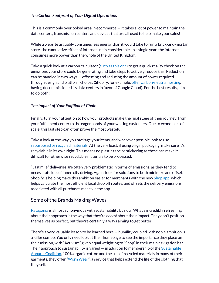#### *The Carbon Footprint of Your Digital Operations*

This is a commonly overlooked area in ecommerce — it takes a lot of power to maintain the data centers, transmission centers and devices that are all used to help make your sales!

While a website arguably consumes less energy than it would take to run a brick-and-mortar store, the cumulative effect of internet use is considerable. In a single year, the internet consumes more power than the whole of the United Kingdom.

Take a quick look at a carbon calculator [\(such as this one\)](https://www.websitecarbon.com/) to get a quick reality check on the emissions your store could be generating and take steps to actively reduce this. Reduction can be handled in two ways — offsetting and reducing the amount of power required through design and platform choices (Shopify, for example, [offer carbon-neutral hosting,](https://www.shopify.co.uk/about/environment) having decommissioned its data centers in favor of Google Cloud). For the best results, aim to do both!

#### *The Impact of Your Fulfillment Chain*

Finally, turn your attention to how your products make the final stage of their journey, from your fulfillment center to the eager hands of your waiting customers. Due to economies of scale, this last step can often prove the most wasteful.

Take a look at the way you package your items, and wherever possible look to use [repurposed or recycled material](https://goodcarts.co/sustainable-packaging-for-ethical-e-commerce-stores/?utm_source=Triple%20Bottom%20Line%20Guide%20Lead%20Magnet&utm_medium=PDF&utm_campaign=2021%20Guide&utm_content=Section%202)[s.](https://goodcarts.co/sustainable-packaging-for-ethical-e-commerce-stores/) At the very least, if using virgin packaging, make sure it's recyclable in its own right. This means no plastic tape or stickering as these can make it difficult for otherwise recyclable materials to be processed.

"Last mile" deliveries are often very problematic in terms of emissions, as they tend to necessitate lots of inner-city driving. Again, look for solutions to both minimize and offset. Shopify is helping make this ambition easier for merchants with the ne[w Shop app,](https://shop.app/) which helps calculate the most efficient local drop off routes, and offsets the delivery emissions associated with all purchases made via the app.

#### Some of the Brands Making Waves

[Patagonia](https://eu.patagonia.com/gb/en/activism/) is almost synonymous with sustainability by now. What's incredibly refreshing about their approach is the way that they're *honest* about their impact. They don't position themselves as perfect, but they're certainly always aiming to get better.

There's a very valuable lesson to be learned here — humility coupled with noble ambition is a killer combo. You only need look at their homepage to see the importance they place on their mission, with "Activism" given equal weighting to "Shop" in their main navigation bar. Their approach to sustainability is varied  $-$  in addition to membership of the Sustainable [Apparel Coalition,](http://apparelcoalition.org/) 100% organic cotton and the use of recycled materials in many of their garments, they offer "[Worn Wear](https://eu.patagonia.com/gb/en/wornwear/)", a service that helps extend the life of the clothing that they sell.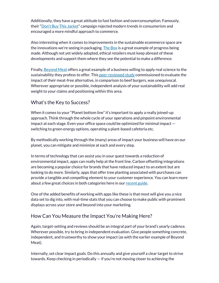Additionally, they have a great attitude to fast fashion and overconsumption. Famously, their ["Don't Buy This Jacket"](https://www.marketingweek.com/case-study-patagonias-dont-buy-this-jacket-campaign/) campaign rejected modern trends in consumerism and encouraged a more mindful approach to commerce.

Also interesting when it comes to improvements in the sustainable ecommerce space are the innovations we're seeing in packaging. [The Box](https://livingpackets.com/) is a great example of progress being made. Although not yet widely adopted, ethical retailers must keep abreast of these developments and support them where they see the potential to make a difference.

Finally, [Beyond Meat o](https://www.beyondmeat.com/)ffers a great example of a business willing to apply real science to the sustainability they profess to offer. Thi[s peer-reviewed study c](http://css.umich.edu/publication/beyond-meats-beyond-burger-life-cycle-assessment-detailed-comparison-between-plant-based)ommissioned to evaluate the impact of their meat-free alternative, in comparison to beef burgers, was unequivocal. Wherever appropriate or possible, independent analysis of your sustainability will add real weight to your claims and positioning within this area.

#### What's the Key to Success?

When it comes to your "Planet bottom line" it's important to apply a really joined-up approach. Think through the whole cycle of your operations and pinpoint environmental impact at each stage. Even your office space could be optimized for minimal impact switching to green energy options, operating a plant-based cafeteria etc.

By methodically working through the (many) areas of impact your business will have on our planet, you can mitigate and minimize at each and every step.

In terms of technology that can assist you in your quest towards a reduction of environmental impact, apps can really help at the front line. Carbon offsetting integrations are becoming a popular choice for brands that have reduced impact to an extent but are looking to do more. Similarly, apps that offer tree planting associated with purchases can provide a tangible and compelling element to your customer experience. You can learn more about a few great choices in both categories here in our [recent guide.](https://goodcarts.co/guides/?utm_source=Triple%20Bottom%20Line%20Guide%20Lead%20Magnet&utm_medium=PDF&utm_campaign=2021%20Guide&utm_content=Section%202)

One of the added benefits of working with apps like these is that most will give you a nice data set to dig into, with real-time stats that you can choose to make public with prominent displays across your store and beyond into your marketing.

### How Can You Measure the Impact You're Making Here?

Again, target-setting and reviews should be an integral part of your brand's yearly cadence. Wherever possible, try to bring in independent evaluation. Give people something concrete, independent, and trustworthy to show your impact (as with the earlier example of Beyond Meat).

Internally, set clear impact goals. Do this annually and give yourself a clear target to strive towards. Keep checking in periodically — if you're not moving closer to achieving the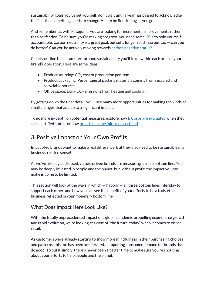sustainability goals you've set yourself, don't wait until a year has passed to acknowledge the fact that something needs to change. Aim to be fine-tuning as you go.

And remember, as with Patagonia, you are looking for incremental improvements rather than perfection. To be sure you're making progress, you need some [KPIs](https://kpi.org/KPI-Basics) to hold yourself accountable. Carbon neutrality is a great goal, but set a longer road map out too  $-$  can you do better? Can you be actively moving toward[s carbon negative status?](https://www.terrapass.com/carbon-negative-companies)

Clearly outline the parameters around sustainability you'll track within each area of your brand's operation. Here are some ideas:

- Product sourcing:  $CO<sub>2</sub>$  cost of production per item.
- Product packaging: Percentage of packing materials coming from recycled and recyclable sources.
- Office space: Daily  $CO<sub>2</sub>$  emissions from heating and cooling.

By getting down the finer detail, you'll see many more opportunities for making the kinds of small changes that add up to a significant impact.

To go more in-depth on potential measures, explore ho[w B Corps are evaluated w](https://bcorporation.eu/certification?_ga=2.50150497.633133326.1607597710-828980133.1607597710)hen they seek certified status, or ho[w brands become fair trade certified.](https://www.fairtradefederation.org/ftf-verified/)

# 3. Positive Impact on Your Own Profits

Impact-led brands want to make a real difference. But they also need to be sustainable in a business-related sense!

As we've already addressed, values-driven brands are measuring a triple bottom line. You may be deeply invested in people and the planet, but without profit, the impact you can make is going to be limited.

This section will look at the ways in which  $-$  happily  $-$  all three bottom lines interplay to support each other, and how you can see the benefit of your efforts to be a truly ethical business reflected in your monetary bottom line.

#### What Does Impact Here Look Like?

With the totally unprecedented impact of a global pandemic propelling ecommerce growth and rapid evolution, we're looking at a case of "the future, today" when it comes to online retail.

As customers were already starting to show more mindfulness in their purchasing choices and patterns, this too has been accelerated, catapulting consumer demand for brands that do good. To put it simply, there's never been a better time to make sure you're shouting about your efforts to help people and the planet.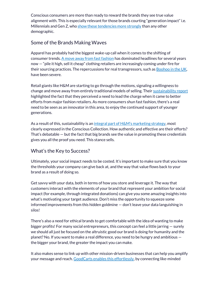Conscious consumers are more than ready to reward the brands they see true value alignment with. This is especially relevant for those brands courting "generation impact" i.e. Millennials and Gen  $Z$ , wh[o show these tendencies more strongly](https://www.wildelectric.co/articles/millennials-usher-in-conscious-consumerism) than any other demographic.

### Some of the Brands Making Waves

Apparel has probably had the biggest wake-up call when it comes to the shifting of consumer trends. [A move away from fast fashion h](https://inews.co.uk/opinion/comment/fast-fashion-coronavirus-sustainable-industry-primark-hm-444451)as dominated headlines for several years now — "pile it high, sell it cheap" clothing retailers are increasingly coming under fire for their sourcing practices. The repercussions for real transgressors, such as **Boohoo in the UK**, have been severe.

Retail giants like H&M are starting to go through the motions, signaling a willingness to change and move away from entirely traditional models of selling. Their [sustainability report](https://hmgroup.com/media/news/financial-reports/2020/4/3621956.html) highlighted the fact that they perceived a need to lead the charge when it came to better efforts from major fashion retailers. As more consumers shun fast fashion, there's a real need to be seen as an innovator in this area, to enjoy the continued support of younger generations.

As a result of this, sustainability is an integral part of  $H\&M's$  marketing strategy, most clearly expressed in the Conscious Collection. How authentic and effective are their efforts? That's debatable — but the fact that big brands see the value in promoting these credentials gives you all the proof you need. This stance sells.

### What's the Key to Success?

Ultimately, your social impact needs to be costed. It's important to make sure that you know the thresholds your company can give back at, and the way that value flows back to your brand as a result of doing so.

Get savvy with your data, both in terms of how you store and leverage it. The way that customers interact with the elements of your brand that represent your ambition for social impact (for example, through integrated donations) can give you some amazing insights into what's motivating your target audience. Don't miss the opportunity to squeeze some informed improvements from this hidden goldmine — don't leave your data languishing in silos!

There's also a need for ethical brands to get comfortable with the idea of wanting to make bigger profits! For many social entrepreneurs, this concept can feel a little jarring — surely we should all just be focused on the altruistic good our brand is doing for humanity and the planet? No. If you want to make a real difference, you need to be hungry and ambitious the bigger your brand, the greater the impact you can make.

It also makes sense to link up with other mission-driven businesses that can help you amplify your message and reach[. GoodCarts enables this effortlessly,](https://goodcarts.co/?utm_source=Triple%20Bottom%20Line%20Guide%20Lead%20Magnet&utm_medium=PDF&utm_campaign=2021%20Guide&utm_content=Section%203) by connecting like-minded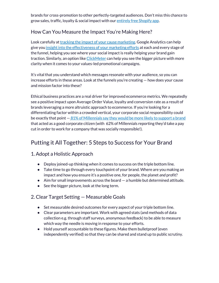brands for cross-promotion to other perfectly-targeted audiences. Don't miss this chance to grow sales, traffic, loyalty & social impact with ou[r entirely free Shopify app.](https://apps.shopify.com/goodcarts/?utm_source=Triple%20Bottom%20Line%20Guide%20Lead%20Magnet&utm_medium=PDF&utm_campaign=2021%20Guide&utm_content=Section%203)

### How Can You Measure the Impact You're Making Here?

Look carefully a[t tracking the impact of your cause marketing.](https://neilpatel.com/blog/9-ways-to-track-which-marketing-activity-drives-the-best-impact/) Google Analytics can help give yo[u insight into the effectiveness of your marketing efforts a](https://support.google.com/analytics/answer/6086209?hl=en)t each and every stage of the funnel, helping you see where your social impact is really helping your brand gain traction. Similarly, an option lik[e ClickMeter c](https://clickmeter.com/)an help you see the bigger picture with more clarity when it comes to your values-led promotional campaigns.

It's vital that you understand which messages resonate with your audience, so you can increase efforts in these areas. Look at the funnels you're creating — how does your cause and mission factor into these?

Ethical business practices are a real driver for improved ecommerce metrics. We repeatedly see a positive impact upon Average Order Value, loyalty and conversion rate as a result of brands leveraging a more altruistic approach to ecommerce. If you're looking for a differentiating factor within a crowded vertical, your corporate social responsibility could be exactly that point — [81% of Millennials say they would be more likely to support a brand](https://www.hrdive.com/news/study-81-of-millennials-want-companies-to-be-good-corporate-citizens/437220/) that acted as a good corporate citizen (with 62% of Millennials reporting they'd take a pay cut in order to work for a company that was socially responsible!).

# Putting it All Together: 5 Steps to Success for Your Brand

### 1. Adopt a Holistic Approach

- Deploy joined-up thinking when it comes to success on the triple bottom line.
- Take time to go through every touchpoint of your brand. Where are you making an impact and how you ensure it's a positive one, for people, the planet *and* profit?
- Aim for small improvements across the board a humble but determined attitude.
- See the bigger picture, look at the long term.

### 2. Clear Target Setting — Measurable Goals

- Set measurable desired outcomes for every aspect of your triple bottom line.
- Clear parameters are important. Work with agreed stats (and methods of data collection e.g. through staff surveys, anonymous feedback) to be able to measure which way the needle is moving in response to your efforts.
- Hold yourself accountable to these figures. Make them bulletproof (even independently verified) so that they can be shared and stand up to public scrutiny.